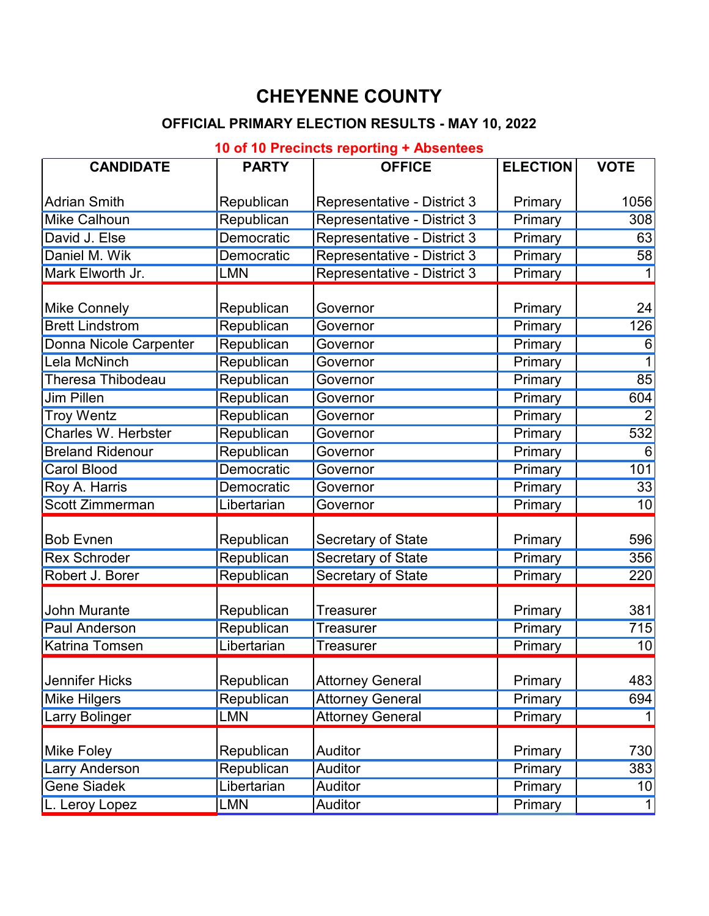# **CHEYENNE COUNTY**

## **OFFICIAL PRIMARY ELECTION RESULTS - MAY 10, 2022**

### **10 of 10 Precincts reporting + Absentees**

| <b>CANDIDATE</b>              | <b>PARTY</b>      | <b>OFFICE</b>                      | <b>ELECTION</b> | <b>VOTE</b>     |
|-------------------------------|-------------------|------------------------------------|-----------------|-----------------|
| <b>Adrian Smith</b>           | Republican        | <b>Representative - District 3</b> | Primary         | 1056            |
| <b>Mike Calhoun</b>           | Republican        | Representative - District 3        | Primary         | 308             |
| David J. Else                 | Democratic        | Representative - District 3        | Primary         | 63              |
| Daniel M. Wik                 | <b>Democratic</b> | Representative - District 3        | Primary         | 58              |
| Mark Elworth Jr.              | <b>LMN</b>        | <b>Representative - District 3</b> | Primary         |                 |
| <b>Mike Connely</b>           | Republican        | Governor                           | Primary         | 24              |
| <b>Brett Lindstrom</b>        | Republican        | Governor                           | Primary         | 126             |
| <b>Donna Nicole Carpenter</b> | Republican        | Governor                           | Primary         | 6               |
| <b>Lela McNinch</b>           | Republican        | Governor                           | Primary         |                 |
| <b>Theresa Thibodeau</b>      | Republican        | Governor                           | Primary         | 85              |
| <b>Jim Pillen</b>             | Republican        | Governor                           | Primary         | 604             |
| <b>Troy Wentz</b>             | Republican        | Governor                           | Primary         | $\overline{2}$  |
| <b>Charles W. Herbster</b>    | Republican        | Governor                           | Primary         | 532             |
| <b>Breland Ridenour</b>       | Republican        | Governor                           | Primary         | 6               |
| <b>Carol Blood</b>            | <b>Democratic</b> | Governor                           | Primary         | 101             |
| Roy A. Harris                 | Democratic        | Governor                           | Primary         | 33              |
| Scott Zimmerman               | Libertarian       | Governor                           | Primary         | 10              |
| <b>Bob Evnen</b>              | Republican        | Secretary of State                 | Primary         | 596             |
| <b>Rex Schroder</b>           | Republican        | <b>Secretary of State</b>          | Primary         | 356             |
| Robert J. Borer               | Republican        | <b>Secretary of State</b>          | Primary         | 220             |
| John Murante                  | Republican        | <b>Treasurer</b>                   | Primary         | 381             |
| <b>Paul Anderson</b>          | Republican        | Treasurer                          | Primary         | 715             |
| <b>Katrina Tomsen</b>         | Libertarian       | <b>Treasurer</b>                   | Primary         | 10              |
| Jennifer Hicks                | Republican        | <b>Attorney General</b>            | Primary         | 483             |
| <b>Mike Hilgers</b>           | Republican        | <b>Attorney General</b>            | Primary         | 694             |
| <b>Larry Bolinger</b>         | <b>LMN</b>        | <b>Attorney General</b>            | Primary         |                 |
| <b>Mike Foley</b>             | Republican        | Auditor                            | Primary         | 730             |
| <b>Larry Anderson</b>         | Republican        | Auditor                            | Primary         | 383             |
| <b>Gene Siadek</b>            | Libertarian       | Auditor                            | Primary         | 10 <sup>1</sup> |
| L. Leroy Lopez                | <b>LMN</b>        | <b>Auditor</b>                     | Primary         |                 |